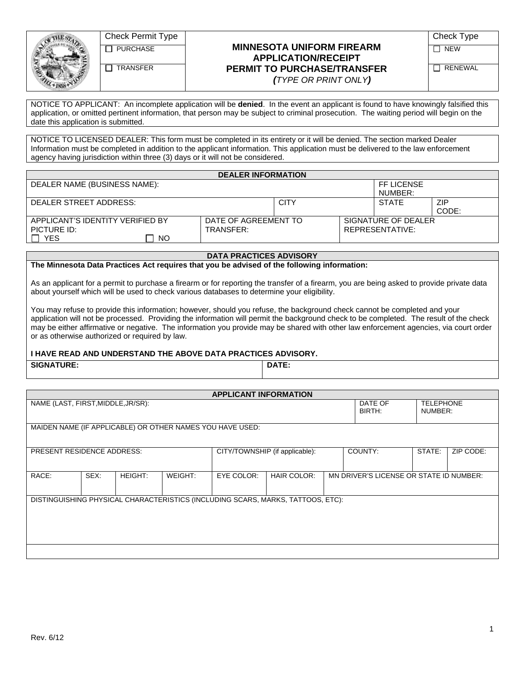| $\mathbf{z}_t$ |
|----------------|

### **PURCHASE MINNESOTA UNIFORM FIREARM APPLICATION/RECEIPT**  TRANSFER  $\begin{array}{c|c|c|c|c} & & & \text{PERMIT TO PURCHASE/TRANSFER} & & \text{or} & \text{RENEWAL} \end{array}$

| Check Type |  |
|------------|--|
|------------|--|

*(TYPE OR PRINT ONLY)*

NOTICE TO APPLICANT: An incomplete application will be **denied**. In the event an applicant is found to have knowingly falsified this application, or omitted pertinent information, that person may be subject to criminal prosecution. The waiting period will begin on the date this application is submitted.

NOTICE TO LICENSED DEALER: This form must be completed in its entirety or it will be denied. The section marked Dealer Information must be completed in addition to the applicant information. This application must be delivered to the law enforcement agency having jurisdiction within three (3) days or it will not be considered.

| <b>DEALER INFORMATION</b>                                           |                                   |             |  |                                        |                     |  |
|---------------------------------------------------------------------|-----------------------------------|-------------|--|----------------------------------------|---------------------|--|
| DEALER NAME (BUSINESS NAME):                                        |                                   |             |  | <b>FF LICENSE</b><br>NUMBER:           |                     |  |
| DEALER STREET ADDRESS:                                              |                                   | <b>CITY</b> |  | <b>STATE</b>                           | <b>ZIP</b><br>CODE: |  |
| APPLICANT'S IDENTITY VERIFIED BY<br>PICTURE ID:<br><b>YES</b><br>NO | DATE OF AGREEMENT TO<br>TRANSFER: |             |  | SIGNATURE OF DEALER<br>REPRESENTATIVE: |                     |  |

#### **DATA PRACTICES ADVISORY**

**The Minnesota Data Practices Act requires that you be advised of the following information:** 

As an applicant for a permit to purchase a firearm or for reporting the transfer of a firearm, you are being asked to provide private data about yourself which will be used to check various databases to determine your eligibility.

You may refuse to provide this information; however, should you refuse, the background check cannot be completed and your application will not be processed. Providing the information will permit the background check to be completed. The result of the check may be either affirmative or negative. The information you provide may be shared with other law enforcement agencies, via court order or as otherwise authorized or required by law.

#### **I HAVE READ AND UNDERSTAND THE ABOVE DATA PRACTICES ADVISORY.**

**SIGNATURE:** DATE:

| <b>APPLICANT INFORMATION</b>                                                    |      |                |         |                                         |  |         |                                         |           |  |
|---------------------------------------------------------------------------------|------|----------------|---------|-----------------------------------------|--|---------|-----------------------------------------|-----------|--|
| NAME (LAST, FIRST, MIDDLE, JR/SR):<br>DATE OF<br>BIRTH:                         |      |                |         |                                         |  |         | <b>TELEPHONE</b><br>NUMBER:             |           |  |
| MAIDEN NAME (IF APPLICABLE) OR OTHER NAMES YOU HAVE USED:                       |      |                |         |                                         |  |         |                                         |           |  |
| <b>PRESENT RESIDENCE ADDRESS:</b>                                               |      |                |         | CITY/TOWNSHIP (if applicable):          |  | COUNTY: | STATE:                                  | ZIP CODE: |  |
| RACE:                                                                           | SEX: | <b>HEIGHT:</b> | WEIGHT: | <b>EYE COLOR:</b><br><b>HAIR COLOR:</b> |  |         | MN DRIVER'S LICENSE OR STATE ID NUMBER: |           |  |
| DISTINGUISHING PHYSICAL CHARACTERISTICS (INCLUDING SCARS, MARKS, TATTOOS, ETC): |      |                |         |                                         |  |         |                                         |           |  |
|                                                                                 |      |                |         |                                         |  |         |                                         |           |  |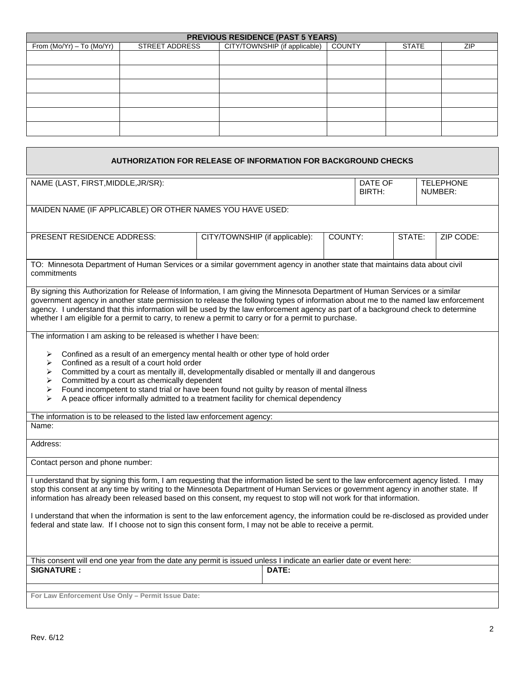| <b>PREVIOUS RESIDENCE (PAST 5 YEARS)</b> |                       |                               |               |              |            |  |  |  |
|------------------------------------------|-----------------------|-------------------------------|---------------|--------------|------------|--|--|--|
| From $(Mo/Yr) - To (Mo/Yr)$              | <b>STREET ADDRESS</b> | CITY/TOWNSHIP (if applicable) | <b>COUNTY</b> | <b>STATE</b> | <b>ZIP</b> |  |  |  |
|                                          |                       |                               |               |              |            |  |  |  |
|                                          |                       |                               |               |              |            |  |  |  |
|                                          |                       |                               |               |              |            |  |  |  |
|                                          |                       |                               |               |              |            |  |  |  |
|                                          |                       |                               |               |              |            |  |  |  |
|                                          |                       |                               |               |              |            |  |  |  |
|                                          |                       |                               |               |              |            |  |  |  |
|                                          |                       |                               |               |              |            |  |  |  |
|                                          |                       |                               |               |              |            |  |  |  |

| AUTHORIZATION FOR RELEASE OF INFORMATION FOR BACKGROUND CHECKS                                                                                                                                                                                                                                                                                                                                                                                                                                                                                                                                                                                          |  |                   |  |  |                             |           |  |
|---------------------------------------------------------------------------------------------------------------------------------------------------------------------------------------------------------------------------------------------------------------------------------------------------------------------------------------------------------------------------------------------------------------------------------------------------------------------------------------------------------------------------------------------------------------------------------------------------------------------------------------------------------|--|-------------------|--|--|-----------------------------|-----------|--|
| NAME (LAST, FIRST, MIDDLE, JR/SR):                                                                                                                                                                                                                                                                                                                                                                                                                                                                                                                                                                                                                      |  | DATE OF<br>BIRTH: |  |  | <b>TELEPHONE</b><br>NUMBER: |           |  |
| MAIDEN NAME (IF APPLICABLE) OR OTHER NAMES YOU HAVE USED:                                                                                                                                                                                                                                                                                                                                                                                                                                                                                                                                                                                               |  |                   |  |  |                             |           |  |
| PRESENT RESIDENCE ADDRESS:<br>COUNTY:<br>CITY/TOWNSHIP (if applicable):<br>STATE:                                                                                                                                                                                                                                                                                                                                                                                                                                                                                                                                                                       |  |                   |  |  |                             | ZIP CODE: |  |
| TO: Minnesota Department of Human Services or a similar government agency in another state that maintains data about civil<br>commitments                                                                                                                                                                                                                                                                                                                                                                                                                                                                                                               |  |                   |  |  |                             |           |  |
| By signing this Authorization for Release of Information, I am giving the Minnesota Department of Human Services or a similar<br>government agency in another state permission to release the following types of information about me to the named law enforcement<br>agency. I understand that this information will be used by the law enforcement agency as part of a background check to determine<br>whether I am eligible for a permit to carry, to renew a permit to carry or for a permit to purchase.                                                                                                                                          |  |                   |  |  |                             |           |  |
| The information I am asking to be released is whether I have been:<br>Confined as a result of an emergency mental health or other type of hold order<br>➤<br>Confined as a result of a court hold order<br>➤<br>Committed by a court as mentally ill, developmentally disabled or mentally ill and dangerous<br>➤<br>Committed by a court as chemically dependent<br>➤<br>Found incompetent to stand trial or have been found not guilty by reason of mental illness<br>➤<br>A peace officer informally admitted to a treatment facility for chemical dependency<br>⋗                                                                                   |  |                   |  |  |                             |           |  |
| The information is to be released to the listed law enforcement agency:                                                                                                                                                                                                                                                                                                                                                                                                                                                                                                                                                                                 |  |                   |  |  |                             |           |  |
| Name:                                                                                                                                                                                                                                                                                                                                                                                                                                                                                                                                                                                                                                                   |  |                   |  |  |                             |           |  |
| Address:                                                                                                                                                                                                                                                                                                                                                                                                                                                                                                                                                                                                                                                |  |                   |  |  |                             |           |  |
| Contact person and phone number:                                                                                                                                                                                                                                                                                                                                                                                                                                                                                                                                                                                                                        |  |                   |  |  |                             |           |  |
| I understand that by signing this form, I am requesting that the information listed be sent to the law enforcement agency listed. I may<br>stop this consent at any time by writing to the Minnesota Department of Human Services or government agency in another state. If<br>information has already been released based on this consent, my request to stop will not work for that information.<br>I understand that when the information is sent to the law enforcement agency, the information could be re-disclosed as provided under<br>federal and state law. If I choose not to sign this consent form, I may not be able to receive a permit. |  |                   |  |  |                             |           |  |
| This consent will end one year from the date any permit is issued unless I indicate an earlier date or event here:                                                                                                                                                                                                                                                                                                                                                                                                                                                                                                                                      |  |                   |  |  |                             |           |  |
| <b>SIGNATURE:</b>                                                                                                                                                                                                                                                                                                                                                                                                                                                                                                                                                                                                                                       |  | DATE:             |  |  |                             |           |  |
| For Law Enforcement Use Only - Permit Issue Date:                                                                                                                                                                                                                                                                                                                                                                                                                                                                                                                                                                                                       |  |                   |  |  |                             |           |  |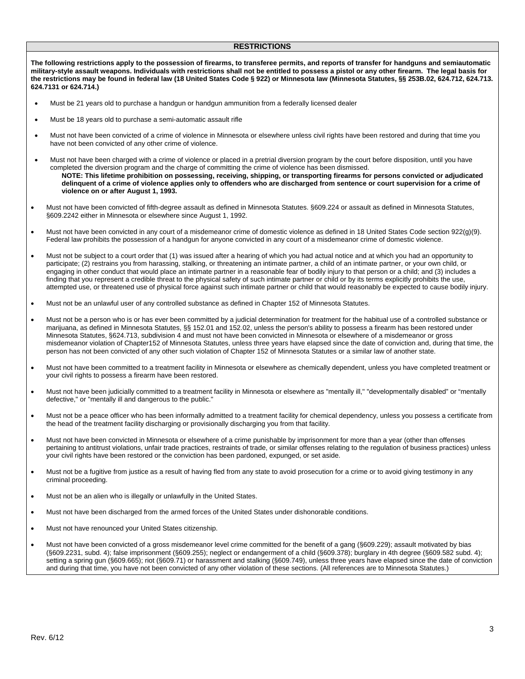#### **RESTRICTIONS**

**The following restrictions apply to the possession of firearms, to transferee permits, and reports of transfer for handguns and semiautomatic military-style assault weapons. Individuals with restrictions shall not be entitled to possess a pistol or any other firearm. The legal basis for the restrictions may be found in federal law (18 United States Code § 922) or Minnesota law (Minnesota Statutes, §§ 253B.02, 624.712, 624.713. 624.7131 or 624.714.)**

- Must be 21 years old to purchase a handgun or handgun ammunition from a federally licensed dealer
- Must be 18 years old to purchase a semi-automatic assault rifle
- Must not have been convicted of a crime of violence in Minnesota or elsewhere unless civil rights have been restored and during that time you have not been convicted of any other crime of violence.
- Must not have been charged with a crime of violence or placed in a pretrial diversion program by the court before disposition, until you have completed the diversion program and the charge of committing the crime of violence has been dismissed. **NOTE: This lifetime prohibition on possessing, receiving, shipping, or transporting firearms for persons convicted or adjudicated delinquent of a crime of violence applies only to offenders who are discharged from sentence or court supervision for a crime of violence on or after August 1, 1993.**
- Must not have been convicted of fifth-degree assault as defined in Minnesota Statutes. §609.224 or assault as defined in Minnesota Statutes, §609.2242 either in Minnesota or elsewhere since August 1, 1992.
- Must not have been convicted in any court of a misdemeanor crime of domestic violence as defined in 18 United States Code section 922(g)(9). Federal law prohibits the possession of a handgun for anyone convicted in any court of a misdemeanor crime of domestic violence.
- Must not be subject to a court order that (1) was issued after a hearing of which you had actual notice and at which you had an opportunity to participate; (2) restrains you from harassing, stalking, or threatening an intimate partner, a child of an intimate partner, or your own child, or engaging in other conduct that would place an intimate partner in a reasonable fear of bodily injury to that person or a child; and (3) includes a finding that you represent a credible threat to the physical safety of such intimate partner or child or by its terms explicitly prohibits the use, attempted use, or threatened use of physical force against such intimate partner or child that would reasonably be expected to cause bodily injury.
- Must not be an unlawful user of any controlled substance as defined in Chapter 152 of Minnesota Statutes.
- Must not be a person who is or has ever been committed by a judicial determination for treatment for the habitual use of a controlled substance or marijuana, as defined in Minnesota Statutes, §§ 152.01 and 152.02, unless the person's ability to possess a firearm has been restored under Minnesota Statutes, §624.713, subdivision 4 and must not have been convicted in Minnesota or elsewhere of a misdemeanor or gross misdemeanor violation of Chapter152 of Minnesota Statutes, unless three years have elapsed since the date of conviction and, during that time, the person has not been convicted of any other such violation of Chapter 152 of Minnesota Statutes or a similar law of another state.
- Must not have been committed to a treatment facility in Minnesota or elsewhere as chemically dependent, unless you have completed treatment or your civil rights to possess a firearm have been restored.
- Must not have been judicially committed to a treatment facility in Minnesota or elsewhere as "mentally ill," "developmentally disabled" or "mentally defective," or "mentally ill and dangerous to the public."
- Must not be a peace officer who has been informally admitted to a treatment facility for chemical dependency, unless you possess a certificate from the head of the treatment facility discharging or provisionally discharging you from that facility.
- Must not have been convicted in Minnesota or elsewhere of a crime punishable by imprisonment for more than a year (other than offenses pertaining to antitrust violations, unfair trade practices, restraints of trade, or similar offenses relating to the regulation of business practices) unless your civil rights have been restored or the conviction has been pardoned, expunged, or set aside.
- Must not be a fugitive from justice as a result of having fled from any state to avoid prosecution for a crime or to avoid giving testimony in any criminal proceeding.
- Must not be an alien who is illegally or unlawfully in the United States.
- Must not have been discharged from the armed forces of the United States under dishonorable conditions.
- Must not have renounced your United States citizenship.
- Must not have been convicted of a gross misdemeanor level crime committed for the benefit of a gang (§609.229); assault motivated by bias (§609.2231, subd. 4); false imprisonment (§609.255); neglect or endangerment of a child (§609.378); burglary in 4th degree (§609.582 subd. 4); setting a spring gun (§609.665); riot (§609.71) or harassment and stalking (§609.749), unless three years have elapsed since the date of conviction and during that time, you have not been convicted of any other violation of these sections. (All references are to Minnesota Statutes.)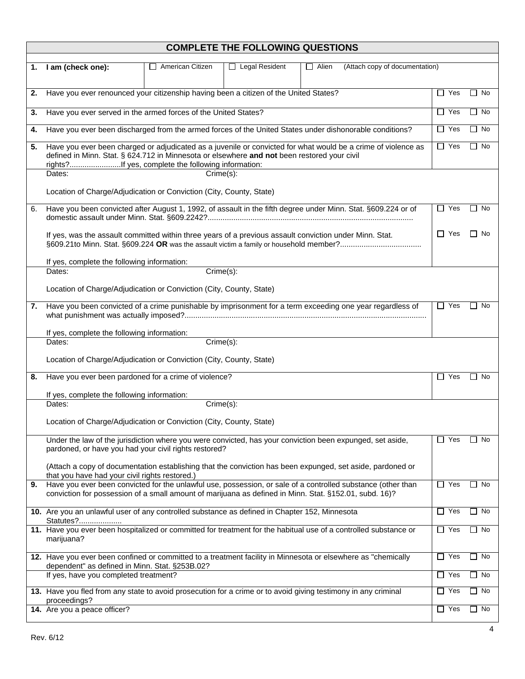|    | <b>COMPLETE THE FOLLOWING QUESTIONS</b>                                                                                                                                                                      |                  |                  |                                                                                                                  |              |              |  |  |
|----|--------------------------------------------------------------------------------------------------------------------------------------------------------------------------------------------------------------|------------------|------------------|------------------------------------------------------------------------------------------------------------------|--------------|--------------|--|--|
|    |                                                                                                                                                                                                              |                  |                  |                                                                                                                  |              |              |  |  |
| 1. | I am (check one):                                                                                                                                                                                            | American Citizen | □ Legal Resident | $\Box$ Alien<br>(Attach copy of documentation)                                                                   |              |              |  |  |
| 2. | Have you ever renounced your citizenship having been a citizen of the United States?                                                                                                                         |                  |                  |                                                                                                                  | $\Box$ Yes   | No           |  |  |
| 3. | Have you ever served in the armed forces of the United States?                                                                                                                                               |                  |                  |                                                                                                                  |              |              |  |  |
| 4. |                                                                                                                                                                                                              |                  |                  | Have you ever been discharged from the armed forces of the United States under dishonorable conditions?          | $\Box$ Yes   | No<br>$\Box$ |  |  |
| 5. | Have you ever been charged or adjudicated as a juvenile or convicted for what would be a crime of violence as<br>defined in Minn. Stat. § 624.712 in Minnesota or elsewhere and not been restored your civil |                  |                  |                                                                                                                  |              |              |  |  |
|    | Dates:                                                                                                                                                                                                       | Crime(s):        |                  |                                                                                                                  |              |              |  |  |
|    | Location of Charge/Adjudication or Conviction (City, County, State)                                                                                                                                          |                  |                  |                                                                                                                  |              |              |  |  |
| 6. |                                                                                                                                                                                                              |                  |                  | Have you been convicted after August 1, 1992, of assault in the fifth degree under Minn. Stat. §609.224 or of    | $\Box$ Yes   | No           |  |  |
|    | If yes, was the assault committed within three years of a previous assault conviction under Minn. Stat.                                                                                                      |                  |                  |                                                                                                                  | $\Box$ Yes   | ∟l No        |  |  |
|    | If yes, complete the following information:                                                                                                                                                                  |                  |                  |                                                                                                                  |              |              |  |  |
|    | Dates:                                                                                                                                                                                                       | Crime(s):        |                  |                                                                                                                  |              |              |  |  |
|    | Location of Charge/Adjudication or Conviction (City, County, State)                                                                                                                                          |                  |                  |                                                                                                                  |              |              |  |  |
| 7. |                                                                                                                                                                                                              |                  |                  | Have you been convicted of a crime punishable by imprisonment for a term exceeding one year regardless of        | $\Box$ Yes   | No           |  |  |
|    | If yes, complete the following information:                                                                                                                                                                  |                  |                  |                                                                                                                  |              |              |  |  |
|    | Dates:                                                                                                                                                                                                       | Crime(s):        |                  |                                                                                                                  |              |              |  |  |
|    | Location of Charge/Adjudication or Conviction (City, County, State)                                                                                                                                          |                  |                  |                                                                                                                  |              |              |  |  |
| 8. | Have you ever been pardoned for a crime of violence?                                                                                                                                                         |                  |                  |                                                                                                                  | $\sqcup$ Yes | No           |  |  |
|    | If yes, complete the following information:                                                                                                                                                                  |                  |                  |                                                                                                                  |              |              |  |  |
|    | Dates:<br>Crime(s):                                                                                                                                                                                          |                  |                  |                                                                                                                  |              |              |  |  |
|    | Location of Charge/Adjudication or Conviction (City, County, State)                                                                                                                                          |                  |                  |                                                                                                                  |              |              |  |  |
|    | pardoned, or have you had your civil rights restored?                                                                                                                                                        |                  |                  | Under the law of the jurisdiction where you were convicted, has your conviction been expunged, set aside,        | $\Box$ Yes   | No           |  |  |
|    | that you have had your civil rights restored.)                                                                                                                                                               |                  |                  | (Attach a copy of documentation establishing that the conviction has been expunged, set aside, pardoned or       |              |              |  |  |
| 9. | conviction for possession of a small amount of marijuana as defined in Minn. Stat. §152.01, subd. 16)?                                                                                                       |                  |                  | Have you ever been convicted for the unlawful use, possession, or sale of a controlled substance (other than     | $\Box$ Yes   | No           |  |  |
|    | 10. Are you an unlawful user of any controlled substance as defined in Chapter 152, Minnesota<br>Statutes?                                                                                                   |                  |                  |                                                                                                                  | $\Box$ Yes   | No           |  |  |
|    | marijuana?                                                                                                                                                                                                   |                  |                  | 11. Have you ever been hospitalized or committed for treatment for the habitual use of a controlled substance or | $\Box$ Yes   | ∃ No         |  |  |
|    | dependent" as defined in Minn. Stat. §253B.02?                                                                                                                                                               |                  |                  | 12. Have you ever been confined or committed to a treatment facility in Minnesota or elsewhere as "chemically    | $\Box$ Yes   | No           |  |  |
|    | If yes, have you completed treatment?                                                                                                                                                                        |                  |                  |                                                                                                                  | $\Box$ Yes   | ∩ No         |  |  |
|    | proceedings?                                                                                                                                                                                                 |                  |                  | 13. Have you fled from any state to avoid prosecution for a crime or to avoid giving testimony in any criminal   | $\Box$ Yes   | $\Box$ No    |  |  |
|    | 14. Are you a peace officer?                                                                                                                                                                                 |                  |                  |                                                                                                                  | $\Box$ Yes   | No           |  |  |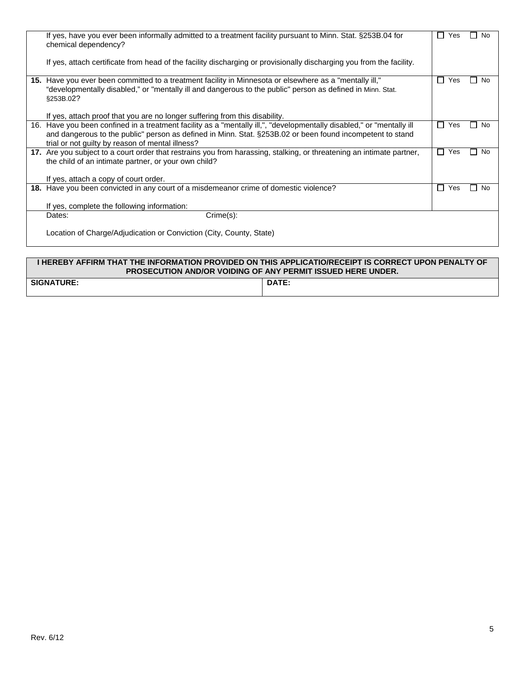| If yes, have you ever been informally admitted to a treatment facility pursuant to Minn. Stat. §253B.04 for<br>chemical dependency?                                                                                                                                                                               | Yes           | <b>No</b> |
|-------------------------------------------------------------------------------------------------------------------------------------------------------------------------------------------------------------------------------------------------------------------------------------------------------------------|---------------|-----------|
| If yes, attach certificate from head of the facility discharging or provisionally discharging you from the facility.                                                                                                                                                                                              |               |           |
| 15. Have you ever been committed to a treatment facility in Minnesota or elsewhere as a "mentally ill,"<br>"developmentally disabled," or "mentally ill and dangerous to the public" person as defined in Minn. Stat.<br>§253B.02?<br>If yes, attach proof that you are no longer suffering from this disability. | Yes           | <b>No</b> |
| 16. Have you been confined in a treatment facility as a "mentally ill,", "developmentally disabled," or "mentally ill<br>and dangerous to the public" person as defined in Minn. Stat. §253B.02 or been found incompetent to stand<br>trial or not guilty by reason of mental illness?                            | Yes<br>a s    | <b>No</b> |
| 17. Are you subject to a court order that restrains you from harassing, stalking, or threatening an intimate partner,<br>the child of an intimate partner, or your own child?<br>If yes, attach a copy of court order.                                                                                            | Yes<br>×      | No        |
| 18. Have you been convicted in any court of a misdemeanor crime of domestic violence?<br>If yes, complete the following information:                                                                                                                                                                              | Yes<br>$\sim$ | Nο        |
| $C$ rime $(s)$ :<br>Dates:                                                                                                                                                                                                                                                                                        |               |           |
| Location of Charge/Adjudication or Conviction (City, County, State)                                                                                                                                                                                                                                               |               |           |

### **I HEREBY AFFIRM THAT THE INFORMATION PROVIDED ON THIS APPLICATIO/RECEIPT IS CORRECT UPON PENALTY OF PROSECUTION AND/OR VOIDING OF ANY PERMIT ISSUED HERE UNDER.**  SIGNATURE: DATE: